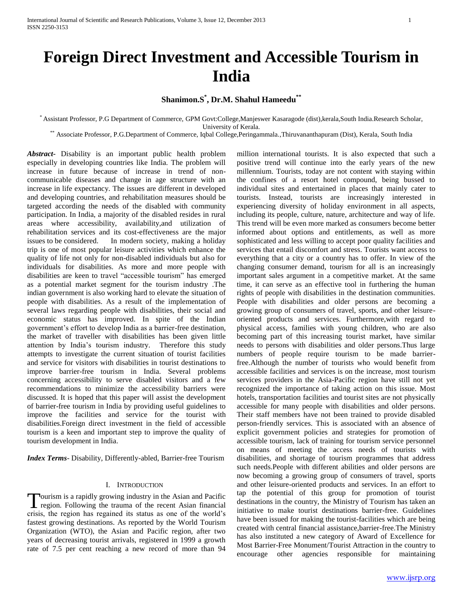# **Foreign Direct Investment and Accessible Tourism in India**

## **Shanimon.S\* , Dr.M. Shahul Hameedu\*\***

\* Assistant Professor, P.G Department of Commerce, GPM Govt:College,Manjeswer Kasaragode (dist),kerala,South India.Research Scholar, University of Kerala.

\*\* Associate Professor, P.G.Department of Commerce, Iqbal College,Peringammala.,Thiruvananthapuram (Dist), Kerala, South India

*Abstract***-** Disability is an important public health problem especially in developing countries like India. The problem will increase in future because of increase in trend of noncommunicable diseases and change in age structure with an increase in life expectancy. The issues are different in developed and developing countries, and rehabilitation measures should be targeted according the needs of the disabled with community participation. In India, a majority of the disabled resides in rural areas where accessibility, availability,and utilization of rehabilitation services and its cost-effectiveness are the major issues to be considered. In modern society, making a holiday trip is one of most popular leisure activities which enhance the quality of life not only for non-disabled individuals but also for individuals for disabilities. As more and more people with disabilities are keen to travel "accessible tourism" has emerged as a potential market segment for the tourism industry .The indian government is also working hard to elevate the situation of people with disabilities. As a result of the implementation of several laws regarding people with disabilities, their social and economic status has improved. In spite of the Indian government's effort to develop India as a barrier-free destination, the market of traveller with disabilities has been given little attention by India's tourism industry. Therefore this study attempts to investigate the current situation of tourist facilities and service for visitors with disabilities in tourist destinations to improve barrier-free tourism in India. Several problems concerning accessibility to serve disabled visitors and a few recommendations to minimize the accessibility barriers were discussed. It is hoped that this paper will assist the development of barrier-free tourism in India by providing useful guidelines to improve the facilities and service for the tourist with disabilities.Foreign direct investment in the field of accessible tourism is a keen and important step to improve the quality of tourism development in India.

*Index Terms*- Disability, Differently-abled, Barrier-free Tourism

#### I. INTRODUCTION

ourism is a rapidly growing industry in the Asian and Pacific Tourism is a rapidly growing industry in the Asian and Pacific<br>region. Following the trauma of the recent Asian financial crisis, the region has regained its status as one of the world's fastest growing destinations. As reported by the World Tourism Organization (WTO), the Asian and Pacific region, after two years of decreasing tourist arrivals, registered in 1999 a growth rate of 7.5 per cent reaching a new record of more than 94

million international tourists. It is also expected that such a positive trend will continue into the early years of the new millennium. Tourists, today are not content with staying within the confines of a resort hotel compound, being bussed to individual sites and entertained in places that mainly cater to tourists. Instead, tourists are increasingly interested in experiencing diversity of holiday environment in all aspects, including its people, culture, nature, architecture and way of life. This trend will be even more marked as consumers become better informed about options and entitlements, as well as more sophisticated and less willing to accept poor quality facilities and services that entail discomfort and stress. Tourists want access to everything that a city or a country has to offer. In view of the changing consumer demand, tourism for all is an increasingly important sales argument in a competitive market. At the same time, it can serve as an effective tool in furthering the human rights of people with disabilities in the destination communities. People with disabilities and older persons are becoming a growing group of consumers of travel, sports, and other leisureoriented products and services. Furthermore,with regard to physical access, families with young children, who are also becoming part of this increasing tourist market, have similar needs to persons with disabilities and older persons.Thus large numbers of people require tourism to be made barrierfree.Although the number of tourists who would benefit from accessible facilities and services is on the increase, most tourism services providers in the Asia-Pacific region have still not yet recognized the importance of taking action on this issue. Most hotels, transportation facilities and tourist sites are not physically accessible for many people with disabilities and older persons. Their staff members have not been trained to provide disabled person-friendly services. This is associated with an absence of explicit government policies and strategies for promotion of accessible tourism, lack of training for tourism service personnel on means of meeting the access needs of tourists with disabilities, and shortage of tourism programmes that address such needs.People with different abilities and older persons are now becoming a growing group of consumers of travel, sports and other leisure-oriented products and services. In an effort to tap the potential of this group for promotion of tourist destinations in the country, the Ministry of Tourism has taken an initiative to make tourist destinations barrier-free. Guidelines have been issued for making the tourist-facilities which are being created with central financial assistance,barrier-free.The Ministry has also instituted a new category of Award of Excellence for Most Barrier-Free Monument/Tourist Attraction in the country to encourage other agencies responsible for maintaining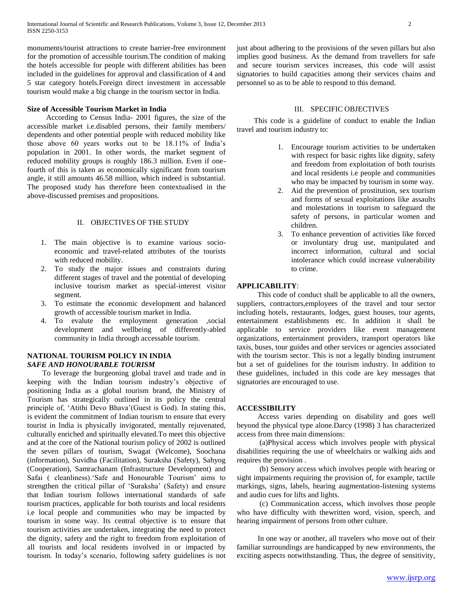monuments/tourist attractions to create barrier-free environment for the promotion of accessible tourism.The condition of making the hotels accessible for people with different abilities has been included in the guidelines for approval and classification of 4 and 5 star category hotels.Foreign direct investment in accessable tourism would make a big change in the tourism sector in India.

#### **Size of Accessible Tourism Market in India**

 According to Census India- 2001 figures, the size of the accessible market i.e.disabled persons, their family members/ dependents and other potential people with reduced mobility like those above 60 years works out to be 18.11% of India's population in 2001. In other words, the market segment of reduced mobility groups is roughly 186.3 million. Even if onefourth of this is taken as economically significant from tourism angle, it still amounts 46.58 million, which indeed is substantial. The proposed study has therefore been contextualised in the above-discussed premises and propositions.

#### II. OBJECTIVES OF THE STUDY

- 1. The main objective is to examine various socioeconomic and travel-related attributes of the tourists with reduced mobility.
- 2. To study the major issues and constraints during different stages of travel and the potential of developing inclusive tourism market as special-interest visitor segment.
- 3. To estimate the economic development and balanced growth of accessible tourism market in India.
- 4. To evalute the employment generation ,social development and wellbeing of differently-abled community in India through accessable tourism.

## **NATIONAL TOURISM POLICY IN INDIA** *SAFE AND HONOURABLE TOURISM*

 To leverage the burgeoning global travel and trade and in keeping with the Indian tourism industry's objective of positioning India as a global tourism brand, the Ministry of Tourism has strategically outlined in its policy the central principle of, 'Atithi Devo Bhava'(Guest is God). In stating this, is evident the commitment of Indian tourism to ensure that every tourist in India is physically invigorated, mentally rejuvenated, culturally enriched and spiritually elevated.To meet this objective and at the core of the National tourism policy of 2002 is outlined the seven pillars of tourism, Swagat (Welcome), Soochana (information), Suvidha (Facilitation), Suraksha (Safety), Sahyog (Cooperation), Samrachanam (Infrastructure Development) and Safai ( cleanliness).'Safe and Honourable Tourism' aims to strengthen the critical pillar of 'Suraksha' (Safety) and ensure that Indian tourism follows international standards of safe tourism practices, applicable for both tourists and local residents i.e local people and communities who may be impacted by tourism in some way. Its central objective is to ensure that tourism activities are undertaken, integrating the need to protect the dignity, safety and the right to freedom from exploitation of all tourists and local residents involved in or impacted by tourism. In today's scenario, following safety guidelines is not just about adhering to the provisions of the seven pillars but also implies good business. As the demand from travellers for safe and secure tourism services increases, this code will assist signatories to build capacities among their services chains and personnel so as to be able to respond to this demand.

#### III. SPECIFIC OBJECTIVES

 This code is a guideline of conduct to enable the Indian travel and tourism industry to:

- 1. Encourage tourism activities to be undertaken with respect for basic rights like dignity, safety and freedom from exploitation of both tourists and local residents i.e people and communities who may be impacted by tourism in some way.
- 2. Aid the prevention of prostitution, sex tourism and forms of sexual exploitations like assaults and molestations in tourism to safeguard the safety of persons, in particular women and children.
- 3. To enhance prevention of activities like forced or involuntary drug use, manipulated and incorrect information, cultural and social intolerance which could increase vulnerability to crime.

#### **APPLICABILITY**:

 This code of conduct shall be applicable to all the owners, suppliers, contractors,employees of the travel and tour sector including hotels, restaurants, lodges, guest houses, tour agents, entertainment establishments etc. In addition it shall be applicable to service providers like event management organizations, entertainment providers, transport operators like taxis, buses, tour guides and other services or agencies associated with the tourism sector. This is not a legally binding instrument but a set of guidelines for the tourism industry. In addition to these guidelines, included in this code are key messages that signatories are encouraged to use.

### **ACCESSIBILITY**

 Access varies depending on disability and goes well beyond the physical type alone.Darcy (1998) 3 has characterized access from three main dimensions:

 (a)Physical access which involves people with physical disabilities requiring the use of wheelchairs or walking aids and requires the provision .

 (b) Sensory access which involves people with hearing or sight impairments requiring the provision of, for example, tactile markings, signs, labels, hearing augmentation-listening systems and audio cues for lifts and lights.

 (c) Communication access, which involves those people who have difficulty with thewritten word, vision, speech, and hearing impairment of persons from other culture.

 In one way or another, all travelers who move out of their familiar surroundings are handicapped by new environments, the exciting aspects notwithstanding. Thus, the degree of sensitivity,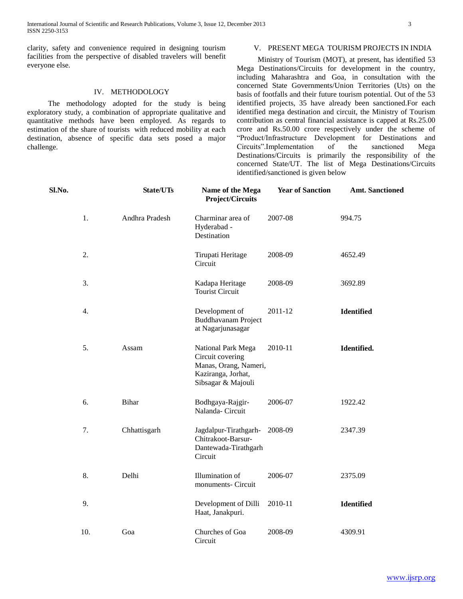International Journal of Scientific and Research Publications, Volume 3, Issue 12, December 2013 3 ISSN 2250-3153

clarity, safety and convenience required in designing tourism facilities from the perspective of disabled travelers will benefit everyone else.

## IV. METHODOLOGY

 The methodology adopted for the study is being exploratory study, a combination of appropriate qualitative and quantitative methods have been employed. As regards to estimation of the share of tourists with reduced mobility at each destination, absence of specific data sets posed a major challenge.

#### V. PRESENT MEGA TOURISM PROJECTS IN INDIA

 Ministry of Tourism (MOT), at present, has identified 53 Mega Destinations/Circuits for development in the country, including Maharashtra and Goa, in consultation with the concerned State Governments/Union Territories (Uts) on the basis of footfalls and their future tourism potential. Out of the 53 identified projects, 35 have already been sanctioned.For each identified mega destination and circuit, the Ministry of Tourism contribution as central financial assistance is capped at Rs.25.00 crore and Rs.50.00 crore respectively under the scheme of "Product/Infrastructure Development for Destinations and Circuits".Implementation of the sanctioned Mega Destinations/Circuits is primarily the responsibility of the concerned State/UT. The list of Mega Destinations/Circuits identified/sanctioned is given below

| Sl.No. |     | State/UTs      | Name of the Mega<br>Project/Circuits                                                                        | <b>Year of Sanction</b> | <b>Amt. Sanctioned</b> |
|--------|-----|----------------|-------------------------------------------------------------------------------------------------------------|-------------------------|------------------------|
|        | 1.  | Andhra Pradesh | Charminar area of<br>Hyderabad -<br>Destination                                                             | 2007-08                 | 994.75                 |
|        | 2.  |                | Tirupati Heritage<br>Circuit                                                                                | 2008-09                 | 4652.49                |
|        | 3.  |                | Kadapa Heritage<br><b>Tourist Circuit</b>                                                                   | 2008-09                 | 3692.89                |
|        | 4.  |                | Development of<br><b>Buddhavanam Project</b><br>at Nagarjunasagar                                           | 2011-12                 | <b>Identified</b>      |
|        | 5.  | Assam          | National Park Mega<br>Circuit covering<br>Manas, Orang, Nameri,<br>Kaziranga, Jorhat,<br>Sibsagar & Majouli | 2010-11                 | Identified.            |
|        | 6.  | Bihar          | Bodhgaya-Rajgir-<br>Nalanda- Circuit                                                                        | 2006-07                 | 1922.42                |
|        | 7.  | Chhattisgarh   | Jagdalpur-Tirathgarh-<br>Chitrakoot-Barsur-<br>Dantewada-Tirathgarh<br>Circuit                              | 2008-09                 | 2347.39                |
|        | 8.  | Delhi          | Illumination of<br>monuments- Circuit                                                                       | 2006-07                 | 2375.09                |
|        | 9.  |                | Development of Dilli<br>Haat, Janakpuri.                                                                    | 2010-11                 | <b>Identified</b>      |
|        | 10. | Goa            | Churches of Goa<br>Circuit                                                                                  | 2008-09                 | 4309.91                |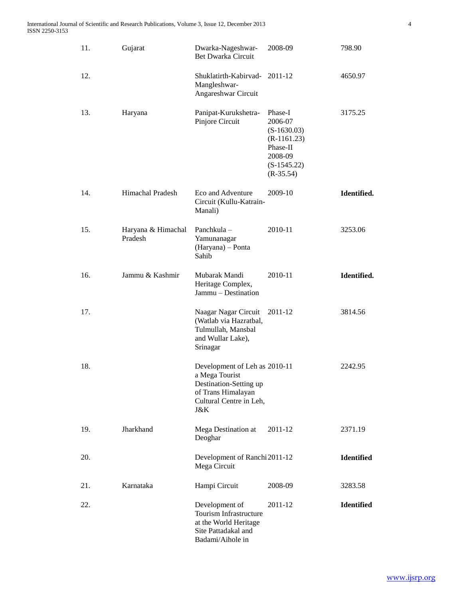| 11. | Gujarat                       | Dwarka-Nageshwar-<br><b>Bet Dwarka Circuit</b>                                                                                    | 2008-09                                                                                                     | 798.90            |
|-----|-------------------------------|-----------------------------------------------------------------------------------------------------------------------------------|-------------------------------------------------------------------------------------------------------------|-------------------|
| 12. |                               | Shuklatirth-Kabirvad- 2011-12<br>Mangleshwar-<br>Angareshwar Circuit                                                              |                                                                                                             | 4650.97           |
| 13. | Haryana                       | Panipat-Kurukshetra-<br>Pinjore Circuit                                                                                           | Phase-I<br>2006-07<br>$(S-1630.03)$<br>$(R-1161.23)$<br>Phase-II<br>2008-09<br>$(S-1545.22)$<br>$(R-35.54)$ | 3175.25           |
| 14. | Himachal Pradesh              | Eco and Adventure<br>Circuit (Kullu-Katrain-<br>Manali)                                                                           | 2009-10                                                                                                     | Identified.       |
| 15. | Haryana & Himachal<br>Pradesh | Panchkula-<br>Yamunanagar<br>(Haryana) - Ponta<br>Sahib                                                                           | 2010-11                                                                                                     | 3253.06           |
| 16. | Jammu & Kashmir               | Mubarak Mandi<br>Heritage Complex,<br>Jammu - Destination                                                                         | 2010-11                                                                                                     | Identified.       |
| 17. |                               | Naagar Nagar Circuit<br>(Watlab via Hazratbal,<br>Tulmullah, Mansbal<br>and Wullar Lake),<br>Srinagar                             | 2011-12                                                                                                     | 3814.56           |
| 18. |                               | Development of Leh as 2010-11<br>a Mega Tourist<br>Destination-Setting up<br>of Trans Himalayan<br>Cultural Centre in Leh,<br>J&K |                                                                                                             | 2242.95           |
| 19. | Jharkhand                     | Mega Destination at<br>Deoghar                                                                                                    | 2011-12                                                                                                     | 2371.19           |
| 20. |                               | Development of Ranchi 2011-12<br>Mega Circuit                                                                                     |                                                                                                             | <b>Identified</b> |
| 21. | Karnataka                     | Hampi Circuit                                                                                                                     | 2008-09                                                                                                     | 3283.58           |
| 22. |                               | Development of<br>Tourism Infrastructure<br>at the World Heritage<br>Site Pattadakal and<br>Badami/Aihole in                      | 2011-12                                                                                                     | <b>Identified</b> |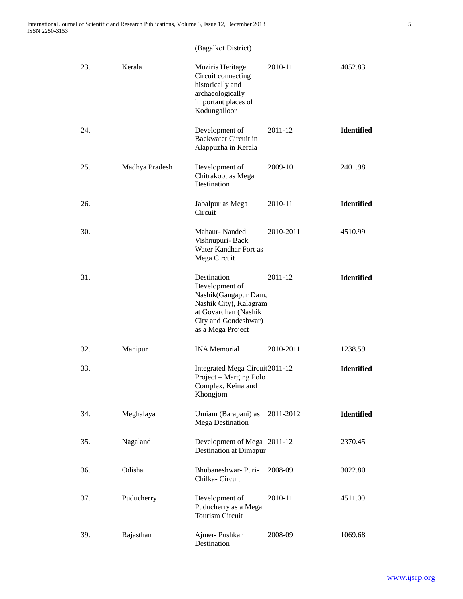| (Bagalkot District) |
|---------------------|
|---------------------|

| 23. | Kerala         | Muziris Heritage<br>Circuit connecting<br>historically and<br>archaeologically<br>important places of<br>Kodungalloor                                | 2010-11   | 4052.83           |
|-----|----------------|------------------------------------------------------------------------------------------------------------------------------------------------------|-----------|-------------------|
| 24. |                | Development of<br><b>Backwater Circuit in</b><br>Alappuzha in Kerala                                                                                 | 2011-12   | <b>Identified</b> |
| 25. | Madhya Pradesh | Development of<br>Chitrakoot as Mega<br>Destination                                                                                                  | 2009-10   | 2401.98           |
| 26. |                | Jabalpur as Mega<br>Circuit                                                                                                                          | 2010-11   | <b>Identified</b> |
| 30. |                | Mahaur-Nanded<br>Vishnupuri- Back<br>Water Kandhar Fort as<br>Mega Circuit                                                                           | 2010-2011 | 4510.99           |
| 31. |                | Destination<br>Development of<br>Nashik(Gangapur Dam,<br>Nashik City), Kalagram<br>at Govardhan (Nashik<br>City and Gondeshwar)<br>as a Mega Project | 2011-12   | <b>Identified</b> |
| 32. | Manipur        | <b>INA</b> Memorial                                                                                                                                  | 2010-2011 | 1238.59           |
| 33. |                | Integrated Mega Circuit2011-12<br>Project - Marging Polo<br>Complex, Keina and<br>Khongjom                                                           |           | <b>Identified</b> |
| 34. | Meghalaya      | Umiam (Barapani) as<br>Mega Destination                                                                                                              | 2011-2012 | <b>Identified</b> |
| 35. | Nagaland       | Development of Mega 2011-12<br><b>Destination at Dimapur</b>                                                                                         |           | 2370.45           |
| 36. | Odisha         | Bhubaneshwar-Puri-<br>Chilka-Circuit                                                                                                                 | 2008-09   | 3022.80           |
| 37. | Puducherry     | Development of<br>Puducherry as a Mega<br>Tourism Circuit                                                                                            | 2010-11   | 4511.00           |
| 39. | Rajasthan      | Ajmer-Pushkar<br>Destination                                                                                                                         | 2008-09   | 1069.68           |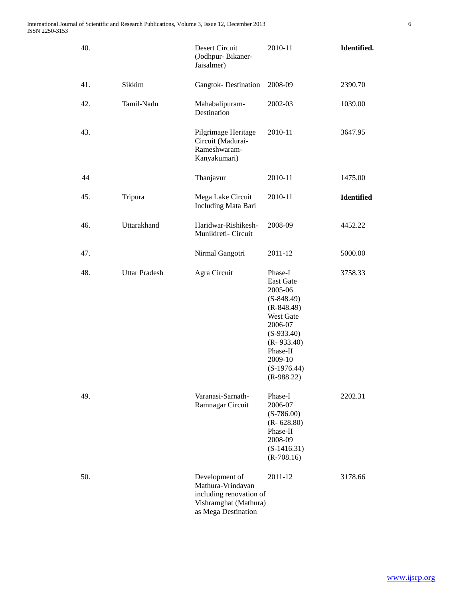| 40. |                      | Desert Circuit<br>(Jodhpur-Bikaner-<br>Jaisalmer)                                                              | 2010-11                                                                                                                                                                           | Identified.       |
|-----|----------------------|----------------------------------------------------------------------------------------------------------------|-----------------------------------------------------------------------------------------------------------------------------------------------------------------------------------|-------------------|
| 41. | Sikkim               | <b>Gangtok-Destination</b>                                                                                     | 2008-09                                                                                                                                                                           | 2390.70           |
| 42. | Tamil-Nadu           | Mahabalipuram-<br>Destination                                                                                  | 2002-03                                                                                                                                                                           | 1039.00           |
| 43. |                      | Pilgrimage Heritage<br>Circuit (Madurai-<br>Rameshwaram-<br>Kanyakumari)                                       | 2010-11                                                                                                                                                                           | 3647.95           |
| 44  |                      | Thanjavur                                                                                                      | 2010-11                                                                                                                                                                           | 1475.00           |
| 45. | Tripura              | Mega Lake Circuit<br><b>Including Mata Bari</b>                                                                | 2010-11                                                                                                                                                                           | <b>Identified</b> |
| 46. | Uttarakhand          | Haridwar-Rishikesh-<br>Munikireti- Circuit                                                                     | 2008-09                                                                                                                                                                           | 4452.22           |
| 47. |                      | Nirmal Gangotri                                                                                                | 2011-12                                                                                                                                                                           | 5000.00           |
| 48. | <b>Uttar Pradesh</b> | Agra Circuit                                                                                                   | Phase-I<br>East Gate<br>2005-06<br>$(S-848.49)$<br>$(R-848.49)$<br>West Gate<br>2006-07<br>$(S-933.40)$<br>$(R - 933.40)$<br>Phase-II<br>2009-10<br>$(S-1976.44)$<br>$(R-988.22)$ | 3758.33           |
| 49. |                      | Varanasi-Sarnath-<br>Ramnagar Circuit                                                                          | Phase-I<br>2006-07<br>$(S-786.00)$<br>$(R - 628.80)$<br>Phase-II<br>2008-09<br>$(S-1416.31)$<br>$(R-708.16)$                                                                      | 2202.31           |
| 50. |                      | Development of<br>Mathura-Vrindavan<br>including renovation of<br>Vishramghat (Mathura)<br>as Mega Destination | 2011-12                                                                                                                                                                           | 3178.66           |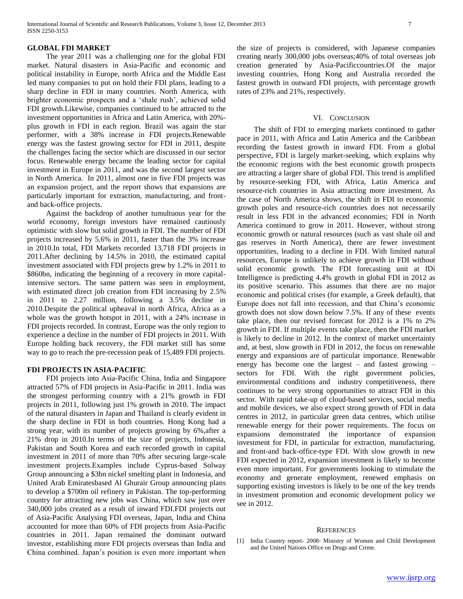#### **GLOBAL FDI MARKET**

The year 2011 was a challenging one for the global FDI market. Natural disasters in Asia-Pacific and economic and political instability in Europe, north Africa and the Middle East led many companies to put on hold their FDI plans, leading to a sharp decline in FDI in many countries. North America, with brighter economic prospects and a 'shale rush', achieved solid FDI growth.Likewise, companies continued to be attracted to the investment opportunities in Africa and Latin America, with 20% plus growth in FDI in each region. Brazil was again the star performer, with a 38% increase in FDI projects.Renewable energy was the fastest growing sector for FDI in 2011, despite the challenges facing the sector which are discussed in our sector focus. Renewable energy became the leading sector for capital investment in Europe in 2011, and was the second largest sector in North America. In 2011, almost one in five FDI projects was an expansion project, and the report shows that expansions are particularly important for extraction, manufacturing, and frontand back-office projects.

Against the backdrop of another tumultuous year for the world economy, foreign investors have remained cautiously optimistic with slow but solid growth in FDI. The number of FDI projects increased by 5.6% in 2011, faster than the 3% increase in 2010.In total, FDI Markets recorded 13,718 FDI projects in 2011.After declining by 14.5% in 2010, the estimated capital investment associated with FDI projects grew by 1.2% in 2011 to \$860bn, indicating the beginning of a recovery in more capitalintensive sectors. The same pattern was seen in employment, with estimated direct job creation from FDI increasing by 2.5% in 2011 to 2.27 million, following a 3.5% decline in 2010.Despite the political upheaval in north Africa, Africa as a whole was the growth hotspot in 2011, with a 24% increase in FDI projects recorded. In contrast, Europe was the only region to experience a decline in the number of FDI projects in 2011. With Europe holding back recovery, the FDI market still has some way to go to reach the pre-recession peak of 15,489 FDI projects.

### **FDI PROJECTS IN ASIA-PACIFIC**

FDI projects into Asia-Pacific China, India and Singapore attracted 57% of FDI projects in Asia-Pacific in 2011. India was the strongest performing country with a 21% growth in FDI projects in 2011, following just 1% growth in 2010. The impact of the natural disasters in Japan and Thailand is clearly evident in the sharp decline in FDI in both countries. Hong Kong had a strong year, with its number of projects growing by 6%,after a 21% drop in 2010.In terms of the size of projects, Indonesia, Pakistan and South Korea and each recorded growth in capital investment in 2011 of more than 70% after securing large-scale investment projects.Examples include Cyprus-based Solway Group announcing a \$3bn nickel smelting plant in Indonesia, and United Arab Emiratesbased Al Ghurair Group announcing plans to develop a \$700m oil refinery in Pakistan. The top-performing country for attracting new jobs was China, which saw just over 340,000 jobs created as a result of inward FDI.FDI projects out of Asia-Pacific Analysing FDI overseas, Japan, India and China accounted for more than 60% of FDI projects from Asia-Pacific countries in 2011. Japan remained the dominant outward investor, establishing more FDI projects overseas than India and China combined. Japan's position is even more important when

the size of projects is considered, with Japanese companies creating nearly 300,000 jobs overseas;40% of total overseas job creation generated by Asia-Pacificcountries.Of the major investing countries, Hong Kong and Australia recorded the fastest growth in outward FDI projects, with percentage growth rates of 23% and 21%, respectively.

#### VI. CONCLUSION

The shift of FDI to emerging markets continued to gather pace in 2011, with Africa and Latin America and the Caribbean recording the fastest growth in inward FDI. From a global perspective, FDI is largely market-seeking, which explains why the economic regions with the best economic growth prospects are attracting a larger share of global FDI. This trend is amplified by resource-seeking FDI, with Africa, Latin America and resource-rich countries in Asia attracting more investment. As the case of North America shows, the shift in FDI to economic growth poles and resource-rich countries does not necessarily result in less FDI in the advanced economies; FDI in North America continued to grow in 2011. However, without strong economic growth or natural resources (such as vast shale oil and gas reserves in North America), there are fewer investment opportunities, leading to a decline in FDI. With limited natural resources, Europe is unlikely to achieve growth in FDI without solid economic growth. The FDI forecasting unit at fDi Intelligence is predicting 4.4% growth in global FDI in 2012 as its positive scenario. This assumes that there are no major economic and political crises (for example, a Greek default), that Europe does not fall into recession, and that China's economic growth does not slow down below 7.5%. If any of these events take place, then our revised forecast for 2012 is a 1% to 2% growth in FDI. If multiple events take place, then the FDI market is likely to decline in 2012. In the context of market uncertainty and, at best, slow growth in FDI in 2012, the focus on renewable energy and expansions are of particular importance. Renewable energy has become one the largest – and fastest growing – sectors for FDI. With the right government policies, environmental conditions and industry competitiveness, there continues to be very strong opportunities to attract FDI in this sector. With rapid take-up of cloud-based services, social media and mobile devices, we also expect strong growth of FDI in data centres in 2012, in particular green data centres, which utilise renewable energy for their power requirements. The focus on expansions demonstrated the importance of expansion investment for FDI, in particular for extraction, manufacturing, and front-and back-office-type FDI. With slow growth in new FDI expected in 2012, expansion investment is likely to become even more important. For governments looking to stimulate the economy and generate employment, renewed emphasis on supporting existing investors is likely to be one of the key trends in investment promotion and economic development policy we see in 2012.

#### **REFERENCES**

[1] India Country report- 2008- Ministry of Women and Child Development and the United Nations Office on Drugs and Crime.